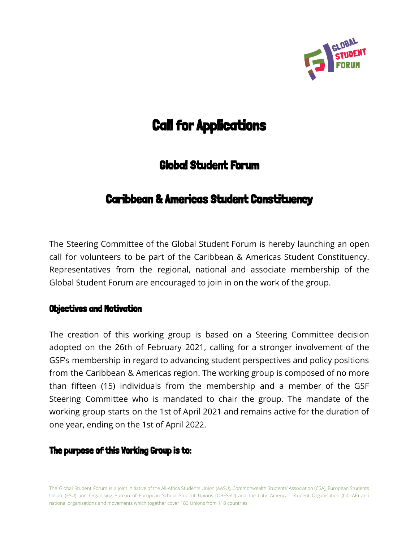

# **Call for Applications**

# Global Student Forum

# Caribbean & Americas Student Constituency

The Steering Committee of the Global Student Forum is hereby launching an open call for volunteers to be part of the Caribbean & Americas Student Constituency. Representatives from the regional, national and associate membership of the Global Student Forum are encouraged to join in on the work of the group.

# Objectives and Motivation

The creation of this working group is based on a Steering Committee decision adopted on the 26th of February 2021, calling for a stronger involvement of the GSF's membership in regard to advancing student perspectives and policy positions from the Caribbean & Americas region. The working group is composed of no more than fifteen (15) individuals from the membership and a member of the GSF Steering Committee who is mandated to chair the group. The mandate of the working group starts on the 1st of April 2021 and remains active for the duration of one year, ending on the 1st of April 2022.

# **The purpose of this Working Group is to:**

The Global Student Forum is a joint initiative of the All-Africa Students Union (AASU), Commonwealth Students' Association (CSA), European Students Union (ESU) and Organising Bureau of European School Student Unions (OBESSU) and the Latin-American Student Organisation (OCLAE) and national organisations and movements which together cover 183 Unions from 118 countries.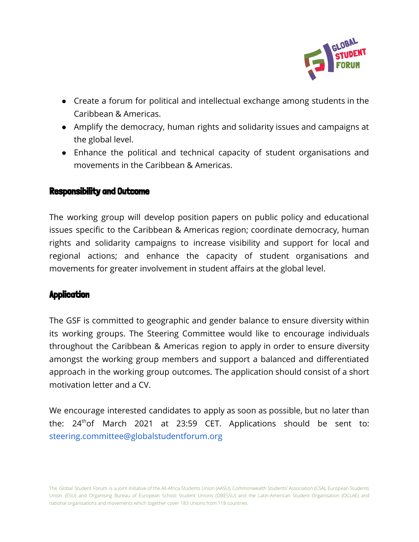

- Create a forum for political and intellectual exchange among students in the Caribbean & Americas.
- Amplify the democracy, human rights and solidarity issues and campaigns at the global level.
- Enhance the political and technical capacity of student organisations and movements in the Caribbean & Americas.

#### Responsibility and Outcome

The working group will develop position papers on public policy and educational issues specific to the Caribbean & Americas region; coordinate democracy, human rights and solidarity campaigns to increase visibility and support for local and regional actions; and enhance the capacity of student organisations and movements for greater involvement in student affairs at the global level.

# **Application**

The GSF is committed to geographic and gender balance to ensure diversity within its working groups. The Steering Committee would like to encourage individuals throughout the Caribbean & Americas region to apply in order to ensure diversity amongst the working group members and support a balanced and differentiated approach in the working group outcomes. The application should consist of a short motivation letter and a CV.

We encourage interested candidates to apply as soon as possible, but no later than the:  $24<sup>th</sup>$ of March 2021 at 23:59 CET. Applications should be sent to: steering.committee@globalstudentforum.org

The Global Student Forum is a joint initiative of the All-Africa Students Union (AASU), Commonwealth Students' Association (CSA), European Students Union (ESU) and Organising Bureau of European School Student Unions (OBESSU) and the Latin-American Student Organisation (OCLAE) and national organisations and movements which together cover 183 Unions from 118 countries.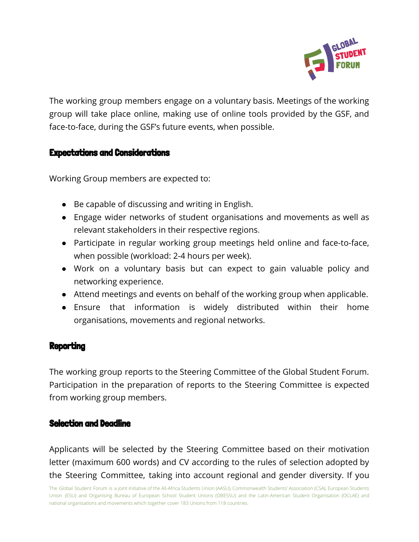

The working group members engage on a voluntary basis. Meetings of the working group will take place online, making use of online tools provided by the GSF, and face-to-face, during the GSF's future events, when possible.

# Expectations and Considerations

Working Group members are expected to:

- Be capable of discussing and writing in English.
- Engage wider networks of student organisations and movements as well as relevant stakeholders in their respective regions.
- Participate in regular working group meetings held online and face-to-face, when possible (workload: 2-4 hours per week).
- Work on a voluntary basis but can expect to gain valuable policy and networking experience.
- Attend meetings and events on behalf of the working group when applicable.
- Ensure that information is widely distributed within their home organisations, movements and regional networks.

# **Reporting**

The working group reports to the Steering Committee of the Global Student Forum. Participation in the preparation of reports to the Steering Committee is expected from working group members.

# Selection and Deadline

Applicants will be selected by the Steering Committee based on their motivation letter (maximum 600 words) and CV according to the rules of selection adopted by the Steering Committee, taking into account regional and gender diversity. If you